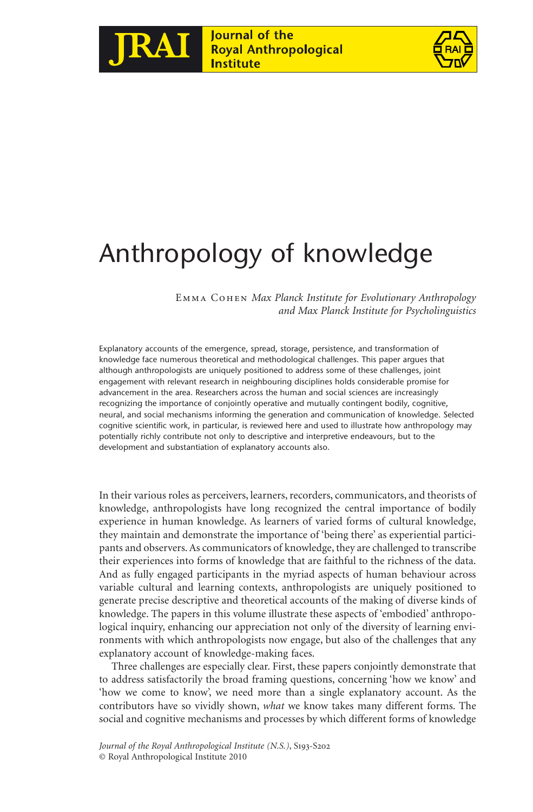



# Anthropology of knowledge

## Emma Cohen *Max Planck Institute for Evolutionary Anthropology and Max Planck Institute for Psycholinguistics*

Explanatory accounts of the emergence, spread, storage, persistence, and transformation of knowledge face numerous theoretical and methodological challenges. This paper argues that although anthropologists are uniquely positioned to address some of these challenges, joint engagement with relevant research in neighbouring disciplines holds considerable promise for advancement in the area. Researchers across the human and social sciences are increasingly recognizing the importance of conjointly operative and mutually contingent bodily, cognitive, neural, and social mechanisms informing the generation and communication of knowledge. Selected cognitive scientific work, in particular, is reviewed here and used to illustrate how anthropology may potentially richly contribute not only to descriptive and interpretive endeavours, but to the development and substantiation of explanatory accounts also.

In their various roles as perceivers, learners, recorders, communicators, and theorists of knowledge, anthropologists have long recognized the central importance of bodily experience in human knowledge. As learners of varied forms of cultural knowledge, they maintain and demonstrate the importance of 'being there' as experiential participants and observers. As communicators of knowledge, they are challenged to transcribe their experiences into forms of knowledge that are faithful to the richness of the data. And as fully engaged participants in the myriad aspects of human behaviour across variable cultural and learning contexts, anthropologists are uniquely positioned to generate precise descriptive and theoretical accounts of the making of diverse kinds of knowledge. The papers in this volume illustrate these aspects of 'embodied' anthropological inquiry, enhancing our appreciation not only of the diversity of learning environments with which anthropologists now engage, but also of the challenges that any explanatory account of knowledge-making faces.

Three challenges are especially clear. First, these papers conjointly demonstrate that to address satisfactorily the broad framing questions, concerning 'how we know' and 'how we come to know', we need more than a single explanatory account. As the contributors have so vividly shown, *what* we know takes many different forms. The social and cognitive mechanisms and processes by which different forms of knowledge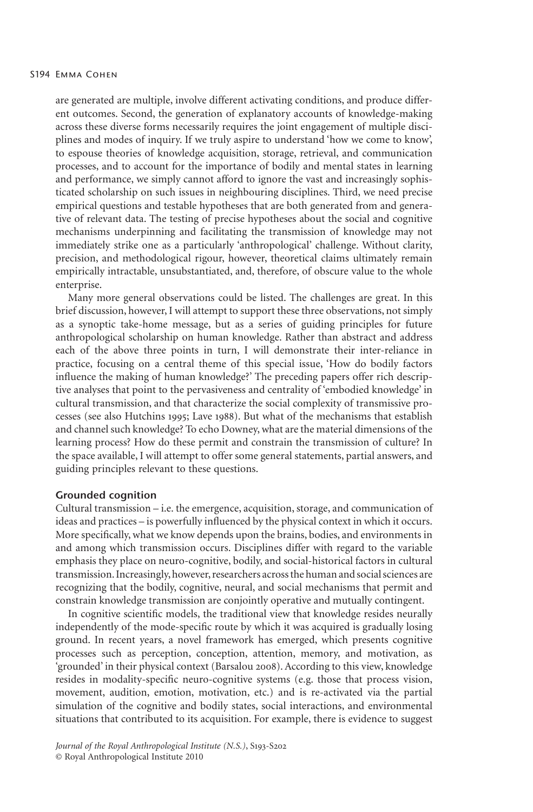are generated are multiple, involve different activating conditions, and produce different outcomes. Second, the generation of explanatory accounts of knowledge-making across these diverse forms necessarily requires the joint engagement of multiple disciplines and modes of inquiry. If we truly aspire to understand 'how we come to know', to espouse theories of knowledge acquisition, storage, retrieval, and communication processes, and to account for the importance of bodily and mental states in learning and performance, we simply cannot afford to ignore the vast and increasingly sophisticated scholarship on such issues in neighbouring disciplines. Third, we need precise empirical questions and testable hypotheses that are both generated from and generative of relevant data. The testing of precise hypotheses about the social and cognitive mechanisms underpinning and facilitating the transmission of knowledge may not immediately strike one as a particularly 'anthropological' challenge. Without clarity, precision, and methodological rigour, however, theoretical claims ultimately remain empirically intractable, unsubstantiated, and, therefore, of obscure value to the whole enterprise.

Many more general observations could be listed. The challenges are great. In this brief discussion, however, I will attempt to support these three observations, not simply as a synoptic take-home message, but as a series of guiding principles for future anthropological scholarship on human knowledge. Rather than abstract and address each of the above three points in turn, I will demonstrate their inter-reliance in practice, focusing on a central theme of this special issue, 'How do bodily factors influence the making of human knowledge?' The preceding papers offer rich descriptive analyses that point to the pervasiveness and centrality of 'embodied knowledge' in cultural transmission, and that characterize the social complexity of transmissive processes (see also Hutchins 1995; Lave 1988). But what of the mechanisms that establish and channel such knowledge? To echo Downey, what are the material dimensions of the learning process? How do these permit and constrain the transmission of culture? In the space available, I will attempt to offer some general statements, partial answers, and guiding principles relevant to these questions.

### Grounded cognition

Cultural transmission – i.e. the emergence, acquisition, storage, and communication of ideas and practices – is powerfully influenced by the physical context in which it occurs. More specifically, what we know depends upon the brains, bodies, and environments in and among which transmission occurs. Disciplines differ with regard to the variable emphasis they place on neuro-cognitive, bodily, and social-historical factors in cultural transmission. Increasingly, however, researchers across the human and social sciences are recognizing that the bodily, cognitive, neural, and social mechanisms that permit and constrain knowledge transmission are conjointly operative and mutually contingent.

In cognitive scientific models, the traditional view that knowledge resides neurally independently of the mode-specific route by which it was acquired is gradually losing ground. In recent years, a novel framework has emerged, which presents cognitive processes such as perception, conception, attention, memory, and motivation, as 'grounded' in their physical context (Barsalou 2008). According to this view, knowledge resides in modality-specific neuro-cognitive systems (e.g. those that process vision, movement, audition, emotion, motivation, etc.) and is re-activated via the partial simulation of the cognitive and bodily states, social interactions, and environmental situations that contributed to its acquisition. For example, there is evidence to suggest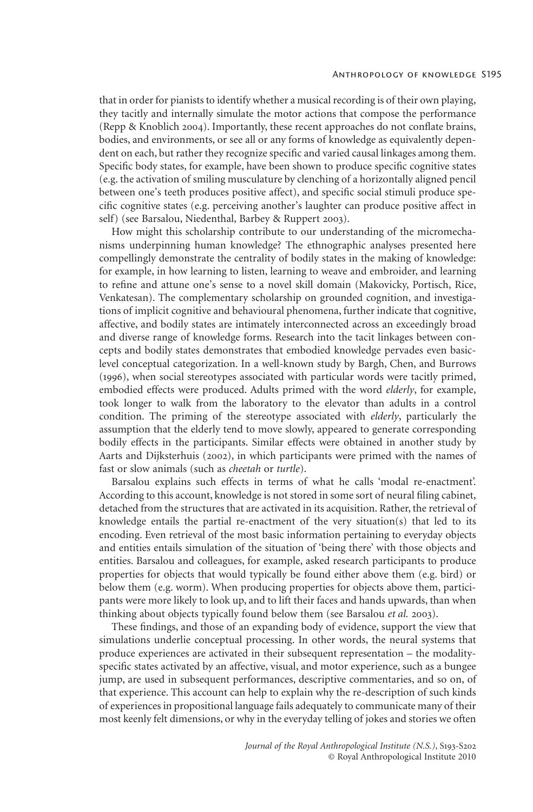that in order for pianists to identify whether a musical recording is of their own playing, they tacitly and internally simulate the motor actions that compose the performance (Repp & Knoblich 2004). Importantly, these recent approaches do not conflate brains, bodies, and environments, or see all or any forms of knowledge as equivalently dependent on each, but rather they recognize specific and varied causal linkages among them. Specific body states, for example, have been shown to produce specific cognitive states (e.g. the activation of smiling musculature by clenching of a horizontally aligned pencil between one's teeth produces positive affect), and specific social stimuli produce specific cognitive states (e.g. perceiving another's laughter can produce positive affect in self) (see Barsalou, Niedenthal, Barbey & Ruppert 2003).

How might this scholarship contribute to our understanding of the micromechanisms underpinning human knowledge? The ethnographic analyses presented here compellingly demonstrate the centrality of bodily states in the making of knowledge: for example, in how learning to listen, learning to weave and embroider, and learning to refine and attune one's sense to a novel skill domain (Makovicky, Portisch, Rice, Venkatesan). The complementary scholarship on grounded cognition, and investigations of implicit cognitive and behavioural phenomena, further indicate that cognitive, affective, and bodily states are intimately interconnected across an exceedingly broad and diverse range of knowledge forms. Research into the tacit linkages between concepts and bodily states demonstrates that embodied knowledge pervades even basiclevel conceptual categorization. In a well-known study by Bargh, Chen, and Burrows (1996), when social stereotypes associated with particular words were tacitly primed, embodied effects were produced. Adults primed with the word *elderly*, for example, took longer to walk from the laboratory to the elevator than adults in a control condition. The priming of the stereotype associated with *elderly*, particularly the assumption that the elderly tend to move slowly, appeared to generate corresponding bodily effects in the participants. Similar effects were obtained in another study by Aarts and Dijksterhuis (2002), in which participants were primed with the names of fast or slow animals (such as *cheetah* or *turtle*).

Barsalou explains such effects in terms of what he calls 'modal re-enactment'. According to this account, knowledge is not stored in some sort of neural filing cabinet, detached from the structures that are activated in its acquisition. Rather, the retrieval of knowledge entails the partial re-enactment of the very situation(s) that led to its encoding. Even retrieval of the most basic information pertaining to everyday objects and entities entails simulation of the situation of 'being there' with those objects and entities. Barsalou and colleagues, for example, asked research participants to produce properties for objects that would typically be found either above them (e.g. bird) or below them (e.g. worm). When producing properties for objects above them, participants were more likely to look up, and to lift their faces and hands upwards, than when thinking about objects typically found below them (see Barsalou *et al.* 2003).

These findings, and those of an expanding body of evidence, support the view that simulations underlie conceptual processing. In other words, the neural systems that produce experiences are activated in their subsequent representation – the modalityspecific states activated by an affective, visual, and motor experience, such as a bungee jump, are used in subsequent performances, descriptive commentaries, and so on, of that experience. This account can help to explain why the re-description of such kinds of experiences in propositional language fails adequately to communicate many of their most keenly felt dimensions, or why in the everyday telling of jokes and stories we often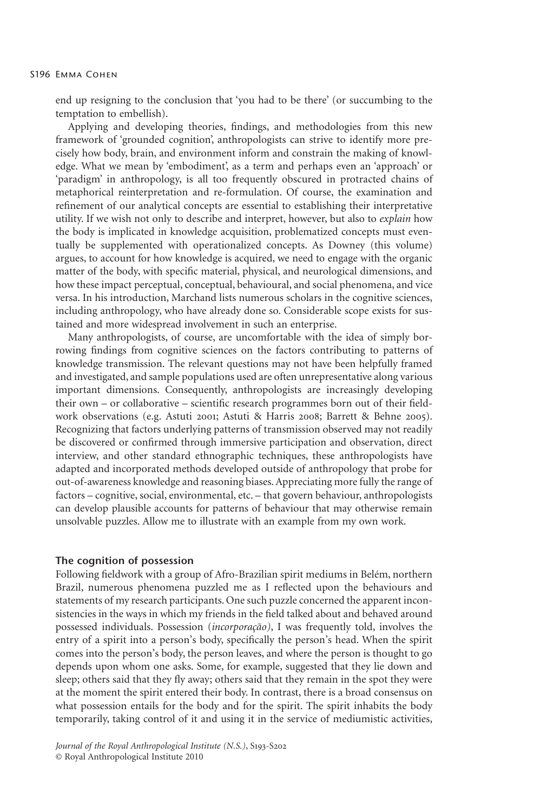end up resigning to the conclusion that 'you had to be there' (or succumbing to the temptation to embellish).

Applying and developing theories, findings, and methodologies from this new framework of 'grounded cognition', anthropologists can strive to identify more precisely how body, brain, and environment inform and constrain the making of knowledge. What we mean by 'embodiment', as a term and perhaps even an 'approach' or 'paradigm' in anthropology, is all too frequently obscured in protracted chains of metaphorical reinterpretation and re-formulation. Of course, the examination and refinement of our analytical concepts are essential to establishing their interpretative utility. If we wish not only to describe and interpret, however, but also to *explain* how the body is implicated in knowledge acquisition, problematized concepts must eventually be supplemented with operationalized concepts. As Downey (this volume) argues, to account for how knowledge is acquired, we need to engage with the organic matter of the body, with specific material, physical, and neurological dimensions, and how these impact perceptual, conceptual, behavioural, and social phenomena, and vice versa. In his introduction, Marchand lists numerous scholars in the cognitive sciences, including anthropology, who have already done so. Considerable scope exists for sustained and more widespread involvement in such an enterprise.

Many anthropologists, of course, are uncomfortable with the idea of simply borrowing findings from cognitive sciences on the factors contributing to patterns of knowledge transmission. The relevant questions may not have been helpfully framed and investigated, and sample populations used are often unrepresentative along various important dimensions. Consequently, anthropologists are increasingly developing their own – or collaborative – scientific research programmes born out of their fieldwork observations (e.g. Astuti 2001; Astuti & Harris 2008; Barrett & Behne 2005). Recognizing that factors underlying patterns of transmission observed may not readily be discovered or confirmed through immersive participation and observation, direct interview, and other standard ethnographic techniques, these anthropologists have adapted and incorporated methods developed outside of anthropology that probe for out-of-awareness knowledge and reasoning biases. Appreciating more fully the range of factors – cognitive, social, environmental, etc. – that govern behaviour, anthropologists can develop plausible accounts for patterns of behaviour that may otherwise remain unsolvable puzzles. Allow me to illustrate with an example from my own work.

#### The cognition of possession

Following fieldwork with a group of Afro-Brazilian spirit mediums in Belém, northern Brazil, numerous phenomena puzzled me as I reflected upon the behaviours and statements of my research participants. One such puzzle concerned the apparent inconsistencies in the ways in which my friends in the field talked about and behaved around possessed individuals. Possession (*incorporação)*, I was frequently told, involves the entry of a spirit into a person's body, specifically the person's head. When the spirit comes into the person's body, the person leaves, and where the person is thought to go depends upon whom one asks. Some, for example, suggested that they lie down and sleep; others said that they fly away; others said that they remain in the spot they were at the moment the spirit entered their body. In contrast, there is a broad consensus on what possession entails for the body and for the spirit. The spirit inhabits the body temporarily, taking control of it and using it in the service of mediumistic activities,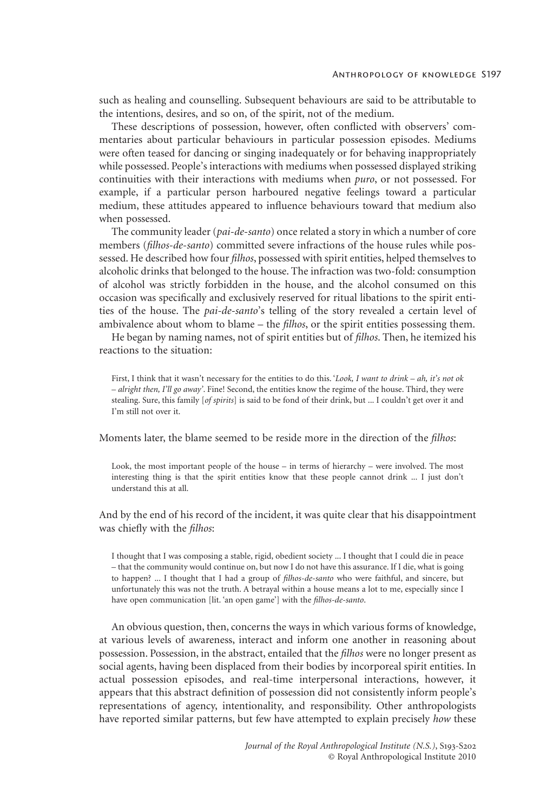such as healing and counselling. Subsequent behaviours are said to be attributable to the intentions, desires, and so on, of the spirit, not of the medium.

These descriptions of possession, however, often conflicted with observers' commentaries about particular behaviours in particular possession episodes. Mediums were often teased for dancing or singing inadequately or for behaving inappropriately while possessed. People's interactions with mediums when possessed displayed striking continuities with their interactions with mediums when *puro*, or not possessed. For example, if a particular person harboured negative feelings toward a particular medium, these attitudes appeared to influence behaviours toward that medium also when possessed.

The community leader (*pai-de-santo*) once related a story in which a number of core members (*filhos-de-santo*) committed severe infractions of the house rules while possessed. He described how four *filhos*, possessed with spirit entities, helped themselves to alcoholic drinks that belonged to the house. The infraction was two-fold: consumption of alcohol was strictly forbidden in the house, and the alcohol consumed on this occasion was specifically and exclusively reserved for ritual libations to the spirit entities of the house. The *pai-de-santo*'s telling of the story revealed a certain level of ambivalence about whom to blame – the *filhos*, or the spirit entities possessing them.

He began by naming names, not of spirit entities but of *filhos*. Then, he itemized his reactions to the situation:

First, I think that it wasn't necessary for the entities to do this. '*Look, I want to drink – ah, it's not ok – alright then, I'll go away'*. Fine! Second, the entities know the regime of the house. Third, they were stealing. Sure, this family [*of spirits*] is said to be fond of their drink, but ... I couldn't get over it and I'm still not over it.

Moments later, the blame seemed to be reside more in the direction of the *filhos*:

Look, the most important people of the house – in terms of hierarchy – were involved. The most interesting thing is that the spirit entities know that these people cannot drink ... I just don't understand this at all.

## And by the end of his record of the incident, it was quite clear that his disappointment was chiefly with the *filhos*:

I thought that I was composing a stable, rigid, obedient society ... I thought that I could die in peace – that the community would continue on, but now I do not have this assurance. If I die, what is going to happen? ... I thought that I had a group of *filhos-de-santo* who were faithful, and sincere, but unfortunately this was not the truth. A betrayal within a house means a lot to me, especially since I have open communication [lit. 'an open game'] with the *filhos-de-santo*.

An obvious question, then, concerns the ways in which various forms of knowledge, at various levels of awareness, interact and inform one another in reasoning about possession. Possession, in the abstract, entailed that the *filhos* were no longer present as social agents, having been displaced from their bodies by incorporeal spirit entities. In actual possession episodes, and real-time interpersonal interactions, however, it appears that this abstract definition of possession did not consistently inform people's representations of agency, intentionality, and responsibility. Other anthropologists have reported similar patterns, but few have attempted to explain precisely *how* these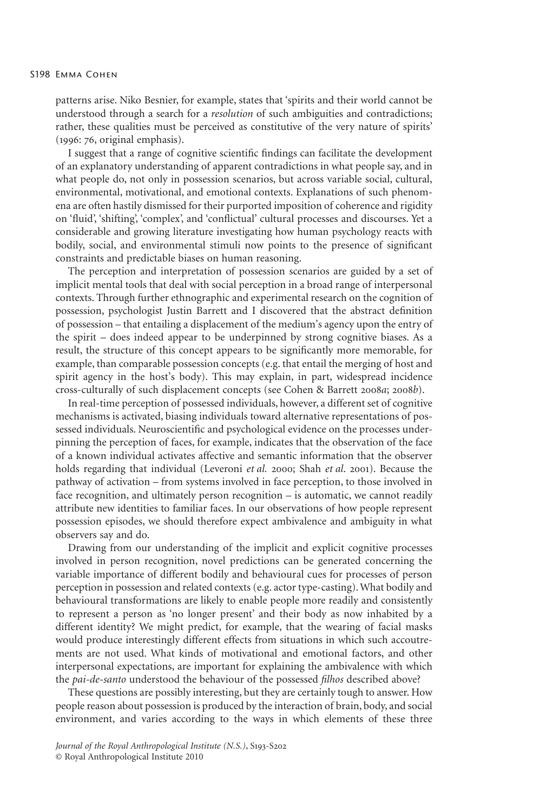patterns arise. Niko Besnier, for example, states that 'spirits and their world cannot be understood through a search for a *resolution* of such ambiguities and contradictions; rather, these qualities must be perceived as constitutive of the very nature of spirits' (1996: 76, original emphasis).

I suggest that a range of cognitive scientific findings can facilitate the development of an explanatory understanding of apparent contradictions in what people say, and in what people do, not only in possession scenarios, but across variable social, cultural, environmental, motivational, and emotional contexts. Explanations of such phenomena are often hastily dismissed for their purported imposition of coherence and rigidity on 'fluid', 'shifting', 'complex', and 'conflictual' cultural processes and discourses. Yet a considerable and growing literature investigating how human psychology reacts with bodily, social, and environmental stimuli now points to the presence of significant constraints and predictable biases on human reasoning.

The perception and interpretation of possession scenarios are guided by a set of implicit mental tools that deal with social perception in a broad range of interpersonal contexts. Through further ethnographic and experimental research on the cognition of possession, psychologist Justin Barrett and I discovered that the abstract definition of possession – that entailing a displacement of the medium's agency upon the entry of the spirit – does indeed appear to be underpinned by strong cognitive biases. As a result, the structure of this concept appears to be significantly more memorable, for example, than comparable possession concepts (e.g. that entail the merging of host and spirit agency in the host's body). This may explain, in part, widespread incidence cross-culturally of such displacement concepts (see Cohen & Barrett 2008*a*; 2008*b*).

In real-time perception of possessed individuals, however, a different set of cognitive mechanisms is activated, biasing individuals toward alternative representations of possessed individuals. Neuroscientific and psychological evidence on the processes underpinning the perception of faces, for example, indicates that the observation of the face of a known individual activates affective and semantic information that the observer holds regarding that individual (Leveroni *et al.* 2000; Shah *et al*. 2001). Because the pathway of activation – from systems involved in face perception, to those involved in face recognition, and ultimately person recognition – is automatic, we cannot readily attribute new identities to familiar faces. In our observations of how people represent possession episodes, we should therefore expect ambivalence and ambiguity in what observers say and do.

Drawing from our understanding of the implicit and explicit cognitive processes involved in person recognition, novel predictions can be generated concerning the variable importance of different bodily and behavioural cues for processes of person perception in possession and related contexts (e.g. actor type-casting). What bodily and behavioural transformations are likely to enable people more readily and consistently to represent a person as 'no longer present' and their body as now inhabited by a different identity? We might predict, for example, that the wearing of facial masks would produce interestingly different effects from situations in which such accoutrements are not used. What kinds of motivational and emotional factors, and other interpersonal expectations, are important for explaining the ambivalence with which the *pai-de-santo* understood the behaviour of the possessed *filhos* described above?

These questions are possibly interesting, but they are certainly tough to answer. How people reason about possession is produced by the interaction of brain, body, and social environment, and varies according to the ways in which elements of these three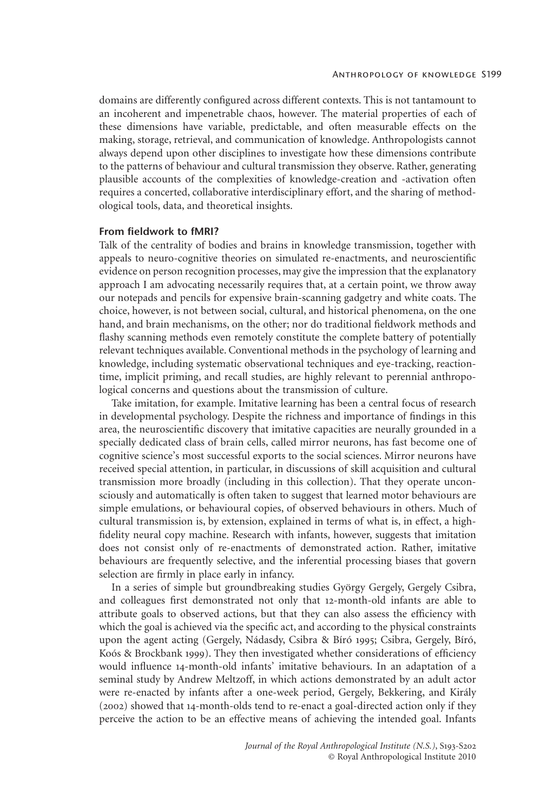domains are differently configured across different contexts. This is not tantamount to an incoherent and impenetrable chaos, however. The material properties of each of these dimensions have variable, predictable, and often measurable effects on the making, storage, retrieval, and communication of knowledge. Anthropologists cannot always depend upon other disciplines to investigate how these dimensions contribute to the patterns of behaviour and cultural transmission they observe. Rather, generating plausible accounts of the complexities of knowledge-creation and -activation often requires a concerted, collaborative interdisciplinary effort, and the sharing of methodological tools, data, and theoretical insights.

#### From fieldwork to fMRI?

Talk of the centrality of bodies and brains in knowledge transmission, together with appeals to neuro-cognitive theories on simulated re-enactments, and neuroscientific evidence on person recognition processes, may give the impression that the explanatory approach I am advocating necessarily requires that, at a certain point, we throw away our notepads and pencils for expensive brain-scanning gadgetry and white coats. The choice, however, is not between social, cultural, and historical phenomena, on the one hand, and brain mechanisms, on the other; nor do traditional fieldwork methods and flashy scanning methods even remotely constitute the complete battery of potentially relevant techniques available. Conventional methods in the psychology of learning and knowledge, including systematic observational techniques and eye-tracking, reactiontime, implicit priming, and recall studies, are highly relevant to perennial anthropological concerns and questions about the transmission of culture.

Take imitation, for example. Imitative learning has been a central focus of research in developmental psychology. Despite the richness and importance of findings in this area, the neuroscientific discovery that imitative capacities are neurally grounded in a specially dedicated class of brain cells, called mirror neurons, has fast become one of cognitive science's most successful exports to the social sciences. Mirror neurons have received special attention, in particular, in discussions of skill acquisition and cultural transmission more broadly (including in this collection). That they operate unconsciously and automatically is often taken to suggest that learned motor behaviours are simple emulations, or behavioural copies, of observed behaviours in others. Much of cultural transmission is, by extension, explained in terms of what is, in effect, a highfidelity neural copy machine. Research with infants, however, suggests that imitation does not consist only of re-enactments of demonstrated action. Rather, imitative behaviours are frequently selective, and the inferential processing biases that govern selection are firmly in place early in infancy.

In a series of simple but groundbreaking studies György Gergely, Gergely Csibra, and colleagues first demonstrated not only that 12-month-old infants are able to attribute goals to observed actions, but that they can also assess the efficiency with which the goal is achieved via the specific act, and according to the physical constraints upon the agent acting (Gergely, Nádasdy, Csibra & Bíró 1995; Csibra, Gergely, Bíró, Koós & Brockbank 1999). They then investigated whether considerations of efficiency would influence 14-month-old infants' imitative behaviours. In an adaptation of a seminal study by Andrew Meltzoff, in which actions demonstrated by an adult actor were re-enacted by infants after a one-week period, Gergely, Bekkering, and Király (2002) showed that 14-month-olds tend to re-enact a goal-directed action only if they perceive the action to be an effective means of achieving the intended goal. Infants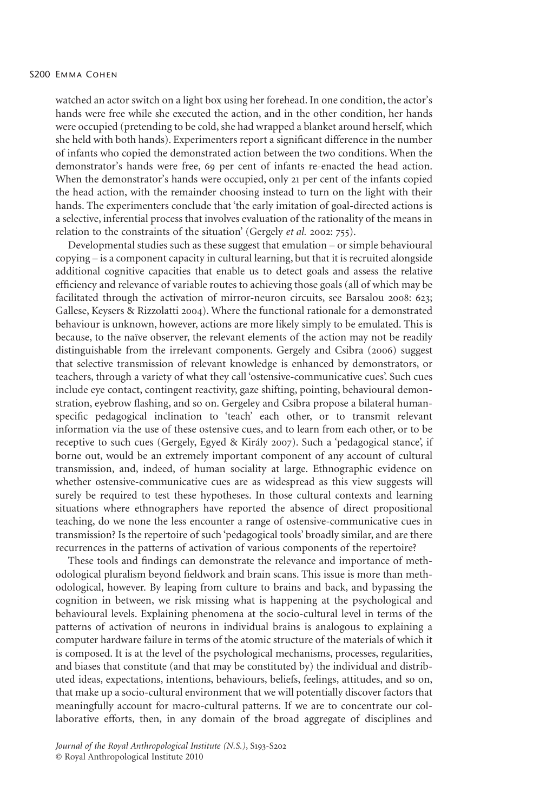watched an actor switch on a light box using her forehead. In one condition, the actor's hands were free while she executed the action, and in the other condition, her hands were occupied (pretending to be cold, she had wrapped a blanket around herself, which she held with both hands). Experimenters report a significant difference in the number of infants who copied the demonstrated action between the two conditions. When the demonstrator's hands were free, 69 per cent of infants re-enacted the head action. When the demonstrator's hands were occupied, only 21 per cent of the infants copied the head action, with the remainder choosing instead to turn on the light with their hands. The experimenters conclude that 'the early imitation of goal-directed actions is a selective, inferential process that involves evaluation of the rationality of the means in relation to the constraints of the situation' (Gergely *et al.* 2002: 755).

Developmental studies such as these suggest that emulation – or simple behavioural copying – is a component capacity in cultural learning, but that it is recruited alongside additional cognitive capacities that enable us to detect goals and assess the relative efficiency and relevance of variable routes to achieving those goals (all of which may be facilitated through the activation of mirror-neuron circuits, see Barsalou 2008: 623; Gallese, Keysers & Rizzolatti 2004). Where the functional rationale for a demonstrated behaviour is unknown, however, actions are more likely simply to be emulated. This is because, to the naïve observer, the relevant elements of the action may not be readily distinguishable from the irrelevant components. Gergely and Csibra (2006) suggest that selective transmission of relevant knowledge is enhanced by demonstrators, or teachers, through a variety of what they call 'ostensive-communicative cues'. Such cues include eye contact, contingent reactivity, gaze shifting, pointing, behavioural demonstration, eyebrow flashing, and so on. Gergeley and Csibra propose a bilateral humanspecific pedagogical inclination to 'teach' each other, or to transmit relevant information via the use of these ostensive cues, and to learn from each other, or to be receptive to such cues (Gergely, Egyed & Király 2007). Such a 'pedagogical stance', if borne out, would be an extremely important component of any account of cultural transmission, and, indeed, of human sociality at large. Ethnographic evidence on whether ostensive-communicative cues are as widespread as this view suggests will surely be required to test these hypotheses. In those cultural contexts and learning situations where ethnographers have reported the absence of direct propositional teaching, do we none the less encounter a range of ostensive-communicative cues in transmission? Is the repertoire of such 'pedagogical tools' broadly similar, and are there recurrences in the patterns of activation of various components of the repertoire?

These tools and findings can demonstrate the relevance and importance of methodological pluralism beyond fieldwork and brain scans. This issue is more than methodological, however. By leaping from culture to brains and back, and bypassing the cognition in between, we risk missing what is happening at the psychological and behavioural levels. Explaining phenomena at the socio-cultural level in terms of the patterns of activation of neurons in individual brains is analogous to explaining a computer hardware failure in terms of the atomic structure of the materials of which it is composed. It is at the level of the psychological mechanisms, processes, regularities, and biases that constitute (and that may be constituted by) the individual and distributed ideas, expectations, intentions, behaviours, beliefs, feelings, attitudes, and so on, that make up a socio-cultural environment that we will potentially discover factors that meaningfully account for macro-cultural patterns. If we are to concentrate our collaborative efforts, then, in any domain of the broad aggregate of disciplines and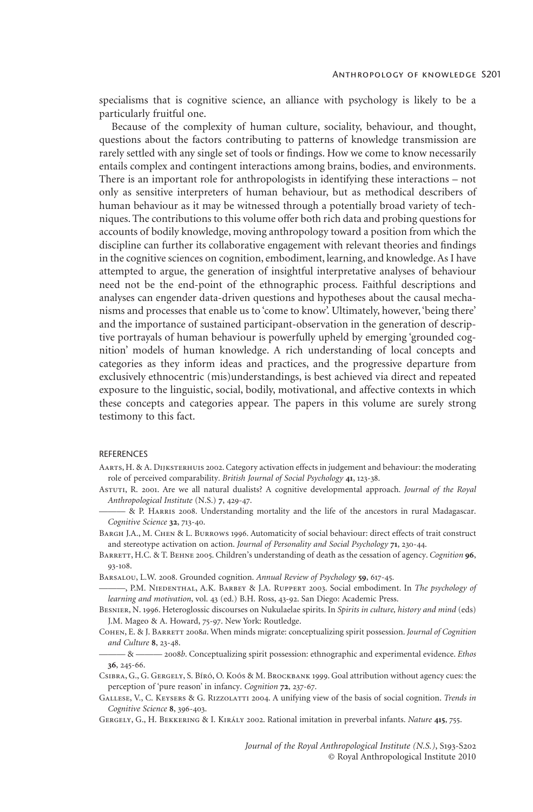specialisms that is cognitive science, an alliance with psychology is likely to be a particularly fruitful one.

Because of the complexity of human culture, sociality, behaviour, and thought, questions about the factors contributing to patterns of knowledge transmission are rarely settled with any single set of tools or findings. How we come to know necessarily entails complex and contingent interactions among brains, bodies, and environments. There is an important role for anthropologists in identifying these interactions – not only as sensitive interpreters of human behaviour, but as methodical describers of human behaviour as it may be witnessed through a potentially broad variety of techniques. The contributions to this volume offer both rich data and probing questions for accounts of bodily knowledge, moving anthropology toward a position from which the discipline can further its collaborative engagement with relevant theories and findings in the cognitive sciences on cognition, embodiment, learning, and knowledge. As I have attempted to argue, the generation of insightful interpretative analyses of behaviour need not be the end-point of the ethnographic process. Faithful descriptions and analyses can engender data-driven questions and hypotheses about the causal mechanisms and processes that enable us to 'come to know'. Ultimately, however, 'being there' and the importance of sustained participant-observation in the generation of descriptive portrayals of human behaviour is powerfully upheld by emerging 'grounded cognition' models of human knowledge. A rich understanding of local concepts and categories as they inform ideas and practices, and the progressive departure from exclusively ethnocentric (mis)understandings, is best achieved via direct and repeated exposure to the linguistic, social, bodily, motivational, and affective contexts in which these concepts and categories appear. The papers in this volume are surely strong testimony to this fact.

#### REFERENCES

- Aarts, H. & A. Dijksterhuis 2002. Category activation effects in judgement and behaviour: the moderating role of perceived comparability. *British Journal of Social Psychology* **41**, 123-38.
- Astuti, R. 2001. Are we all natural dualists? A cognitive developmental approach. *Journal of the Royal Anthropological Institute* (N.S.) **7**, 429-47.
- ——— & P. Harris 2008. Understanding mortality and the life of the ancestors in rural Madagascar. *Cognitive Science* **32**, 713-40.
- Bargh J.A., M. Chen & L. Burrows 1996. Automaticity of social behaviour: direct effects of trait construct and stereotype activation on action. *Journal of Personality and Social Psychology* **71**, 230-44.
- Barrett, H.C. & T. Behne 2005. Children's understanding of death as the cessation of agency. *Cognition* **96**, 93-108.
- Barsalou, L.W. 2008. Grounded cognition. *Annual Review of Psychology* **59**, 617-45.

———, P.M. Niedenthal, A.K. Barbey & J.A. Ruppert 2003. Social embodiment. In *The psychology of learning and motivation*, vol. 43 (ed.) B.H. Ross, 43-92. San Diego: Academic Press.

Besnier, N. 1996. Heteroglossic discourses on Nukulaelae spirits. In *Spirits in culture, history and mind* (eds) J.M. Mageo & A. Howard, 75-97. New York: Routledge.

Cohen, E. & J. Barrett 2008*a*. When minds migrate: conceptualizing spirit possession. *Journal of Cognition and Culture* **8**, 23-48.

——— & ——— 2008*b*. Conceptualizing spirit possession: ethnographic and experimental evidence. *Ethos* **36**, 245-66.

CSIBRA, G., G. GERGELY, S. BÍRÓ, O. KOÓS & M. BROCKBANK 1999. Goal attribution without agency cues: the perception of 'pure reason' in infancy. *Cognition* **72**, 237-67.

Gallese, V., C. Keysers & G. Rizzolatti 2004. A unifying view of the basis of social cognition. *Trends in Cognitive Science* **8**, 396-403.

GERGELY, G., H. BEKKERING & I. KIRÁLY 2002. Rational imitation in preverbal infants. *Nature* 415, 755.